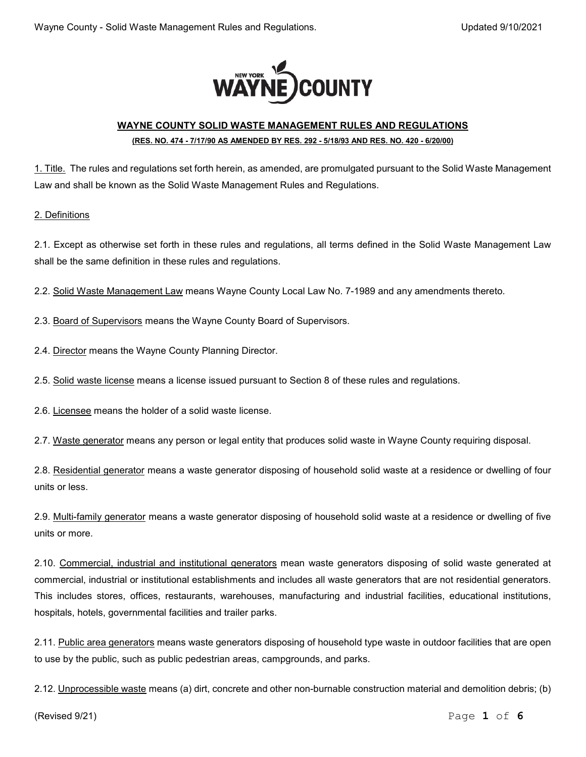

# **WAYNE COUNTY SOLID WASTE MANAGEMENT RULES AND REGULATIONS (RES. NO. 474 - 7/17/90 AS AMENDED BY RES. 292 - 5/18/93 AND RES. NO. 420 - 6/20/00)**

1. Title. The rules and regulations set forth herein, as amended, are promulgated pursuant to the Solid Waste Management Law and shall be known as the Solid Waste Management Rules and Regulations.

#### 2. Definitions

2.1. Except as otherwise set forth in these rules and regulations, all terms defined in the Solid Waste Management Law shall be the same definition in these rules and regulations.

2.2. Solid Waste Management Law means Wayne County Local Law No. 7-1989 and any amendments thereto.

2.3. Board of Supervisors means the Wayne County Board of Supervisors.

2.4. Director means the Wayne County Planning Director.

2.5. Solid waste license means a license issued pursuant to Section 8 of these rules and regulations.

2.6. Licensee means the holder of a solid waste license.

2.7. Waste generator means any person or legal entity that produces solid waste in Wayne County requiring disposal.

2.8. Residential generator means a waste generator disposing of household solid waste at a residence or dwelling of four units or less.

2.9. Multi-family generator means a waste generator disposing of household solid waste at a residence or dwelling of five units or more.

2.10. Commercial, industrial and institutional generators mean waste generators disposing of solid waste generated at commercial, industrial or institutional establishments and includes all waste generators that are not residential generators. This includes stores, offices, restaurants, warehouses, manufacturing and industrial facilities, educational institutions, hospitals, hotels, governmental facilities and trailer parks.

2.11. Public area generators means waste generators disposing of household type waste in outdoor facilities that are open to use by the public, such as public pedestrian areas, campgrounds, and parks.

2.12. Unprocessible waste means (a) dirt, concrete and other non-burnable construction material and demolition debris; (b)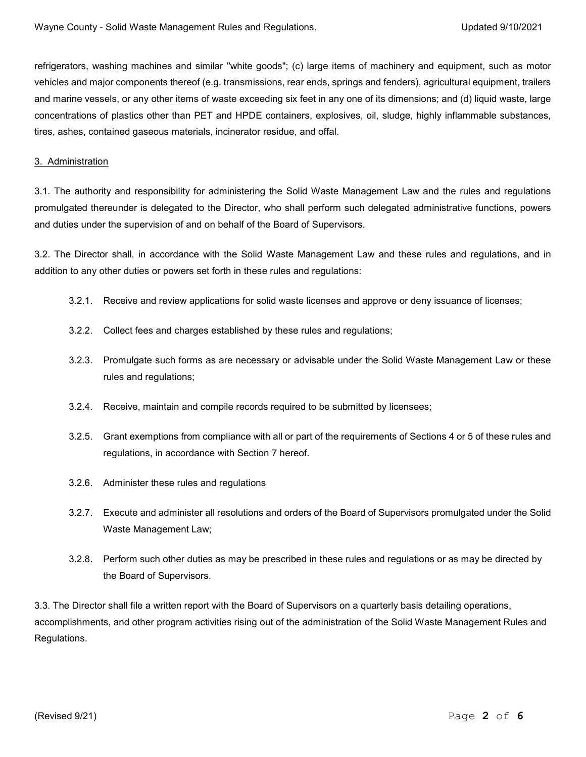refrigerators, washing machines and similar "white goods"; (c) large items of machinery and equipment, such as motor vehicles and major components thereof (e.g. transmissions, rear ends, springs and fenders), agricultural equipment, trailers and marine vessels, or any other items of waste exceeding six feet in any one of its dimensions; and (d) liquid waste, large concentrations of plastics other than PET and HPDE containers, explosives, oil, sludge, highly inflammable substances, tires, ashes, contained gaseous materials, incinerator residue, and offal.

#### 3. Administration

3.1. The authority and responsibility for administering the Solid Waste Management Law and the rules and regulations promulgated thereunder is delegated to the Director, who shall perform such delegated administrative functions, powers and duties under the supervision of and on behalf of the Board of Supervisors.

3.2. The Director shall, in accordance with the Solid Waste Management Law and these rules and regulations, and in addition to any other duties or powers set forth in these rules and regulations:

- 3.2.1. Receive and review applications for solid waste licenses and approve or deny issuance of licenses;
- 3.2.2. Collect fees and charges established by these rules and regulations;
- 3.2.3. Promulgate such forms as are necessary or advisable under the Solid Waste Management Law or these rules and regulations;
- 3.2.4. Receive, maintain and compile records required to be submitted by licensees;
- 3.2.5. Grant exemptions from compliance with all or part of the requirements of Sections 4 or 5 of these rules and regulations, in accordance with Section 7 hereof.
- 3.2.6. Administer these rules and regulations
- 3.2.7. Execute and administer all resolutions and orders of the Board of Supervisors promulgated under the Solid Waste Management Law;
- 3.2.8. Perform such other duties as may be prescribed in these rules and regulations or as may be directed by the Board of Supervisors.

3.3. The Director shall file a written report with the Board of Supervisors on a quarterly basis detailing operations, accomplishments, and other program activities rising out of the administration of the Solid Waste Management Rules and Regulations.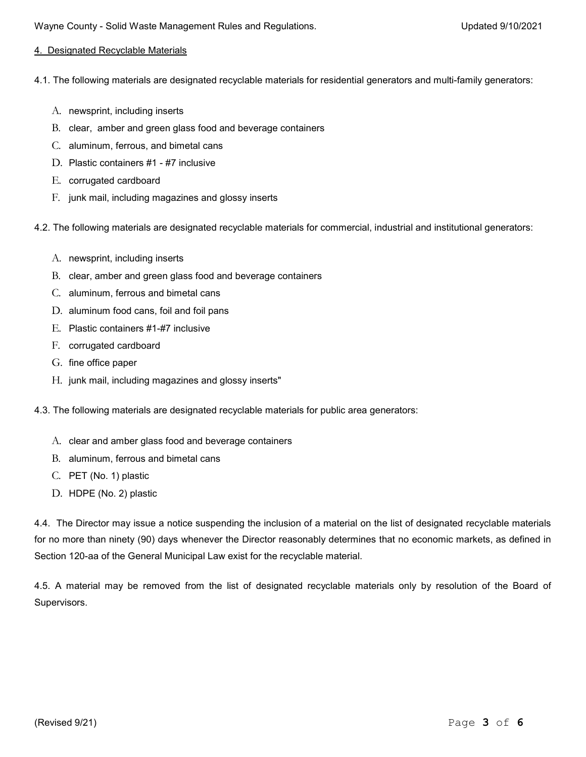## 4. Designated Recyclable Materials

4.1. The following materials are designated recyclable materials for residential generators and multi-family generators:

- A. newsprint, including inserts
- B. clear, amber and green glass food and beverage containers
- C. aluminum, ferrous, and bimetal cans
- D. Plastic containers #1 #7 inclusive
- E. corrugated cardboard
- F. junk mail, including magazines and glossy inserts

4.2. The following materials are designated recyclable materials for commercial, industrial and institutional generators:

- A. newsprint, including inserts
- B. clear, amber and green glass food and beverage containers
- C. aluminum, ferrous and bimetal cans
- D. aluminum food cans, foil and foil pans
- E. Plastic containers #1-#7 inclusive
- F. corrugated cardboard
- G. fine office paper
- H. junk mail, including magazines and glossy inserts"
- 4.3. The following materials are designated recyclable materials for public area generators:
	- A. clear and amber glass food and beverage containers
	- B. aluminum, ferrous and bimetal cans
	- C. PET (No. 1) plastic
	- D. HDPE (No. 2) plastic

4.4. The Director may issue a notice suspending the inclusion of a material on the list of designated recyclable materials for no more than ninety (90) days whenever the Director reasonably determines that no economic markets, as defined in Section 120-aa of the General Municipal Law exist for the recyclable material.

4.5. A material may be removed from the list of designated recyclable materials only by resolution of the Board of Supervisors.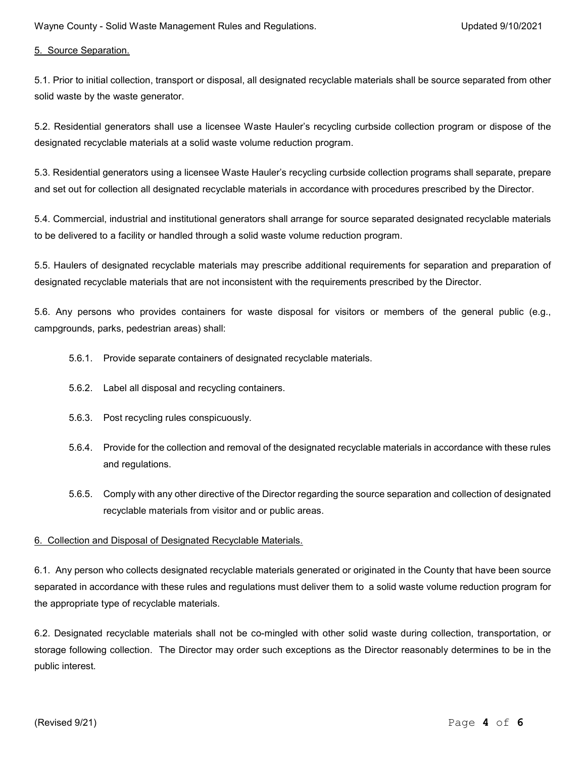5. Source Separation.

5.1. Prior to initial collection, transport or disposal, all designated recyclable materials shall be source separated from other solid waste by the waste generator.

5.2. Residential generators shall use a licensee Waste Hauler's recycling curbside collection program or dispose of the designated recyclable materials at a solid waste volume reduction program.

5.3. Residential generators using a licensee Waste Hauler's recycling curbside collection programs shall separate, prepare and set out for collection all designated recyclable materials in accordance with procedures prescribed by the Director.

5.4. Commercial, industrial and institutional generators shall arrange for source separated designated recyclable materials to be delivered to a facility or handled through a solid waste volume reduction program.

5.5. Haulers of designated recyclable materials may prescribe additional requirements for separation and preparation of designated recyclable materials that are not inconsistent with the requirements prescribed by the Director.

5.6. Any persons who provides containers for waste disposal for visitors or members of the general public (e.g., campgrounds, parks, pedestrian areas) shall:

- 5.6.1. Provide separate containers of designated recyclable materials.
- 5.6.2. Label all disposal and recycling containers.
- 5.6.3. Post recycling rules conspicuously.
- 5.6.4. Provide for the collection and removal of the designated recyclable materials in accordance with these rules and regulations.
- 5.6.5. Comply with any other directive of the Director regarding the source separation and collection of designated recyclable materials from visitor and or public areas.

## 6. Collection and Disposal of Designated Recyclable Materials.

6.1. Any person who collects designated recyclable materials generated or originated in the County that have been source separated in accordance with these rules and regulations must deliver them to a solid waste volume reduction program for the appropriate type of recyclable materials.

6.2. Designated recyclable materials shall not be co-mingled with other solid waste during collection, transportation, or storage following collection. The Director may order such exceptions as the Director reasonably determines to be in the public interest.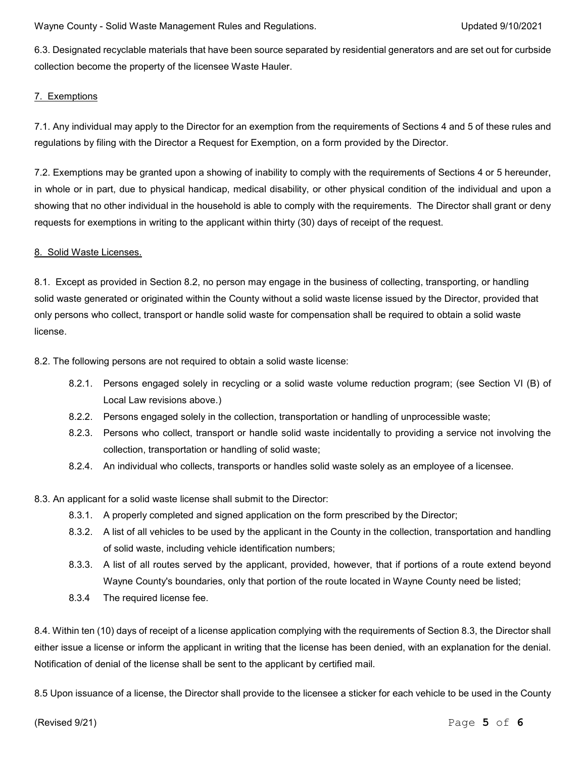6.3. Designated recyclable materials that have been source separated by residential generators and are set out for curbside collection become the property of the licensee Waste Hauler.

# 7. Exemptions

7.1. Any individual may apply to the Director for an exemption from the requirements of Sections 4 and 5 of these rules and regulations by filing with the Director a Request for Exemption, on a form provided by the Director.

7.2. Exemptions may be granted upon a showing of inability to comply with the requirements of Sections 4 or 5 hereunder, in whole or in part, due to physical handicap, medical disability, or other physical condition of the individual and upon a showing that no other individual in the household is able to comply with the requirements. The Director shall grant or deny requests for exemptions in writing to the applicant within thirty (30) days of receipt of the request.

## 8. Solid Waste Licenses.

8.1. Except as provided in Section 8.2, no person may engage in the business of collecting, transporting, or handling solid waste generated or originated within the County without a solid waste license issued by the Director, provided that only persons who collect, transport or handle solid waste for compensation shall be required to obtain a solid waste license.

8.2. The following persons are not required to obtain a solid waste license:

- 8.2.1. Persons engaged solely in recycling or a solid waste volume reduction program; (see Section VI (B) of Local Law revisions above.)
- 8.2.2. Persons engaged solely in the collection, transportation or handling of unprocessible waste;
- 8.2.3. Persons who collect, transport or handle solid waste incidentally to providing a service not involving the collection, transportation or handling of solid waste;
- 8.2.4. An individual who collects, transports or handles solid waste solely as an employee of a licensee.
- 8.3. An applicant for a solid waste license shall submit to the Director:
	- 8.3.1. A properly completed and signed application on the form prescribed by the Director;
	- 8.3.2. A list of all vehicles to be used by the applicant in the County in the collection, transportation and handling of solid waste, including vehicle identification numbers;
	- 8.3.3. A list of all routes served by the applicant, provided, however, that if portions of a route extend beyond Wayne County's boundaries, only that portion of the route located in Wayne County need be listed;
	- 8.3.4 The required license fee.

8.4. Within ten (10) days of receipt of a license application complying with the requirements of Section 8.3, the Director shall either issue a license or inform the applicant in writing that the license has been denied, with an explanation for the denial. Notification of denial of the license shall be sent to the applicant by certified mail.

8.5 Upon issuance of a license, the Director shall provide to the licensee a sticker for each vehicle to be used in the County